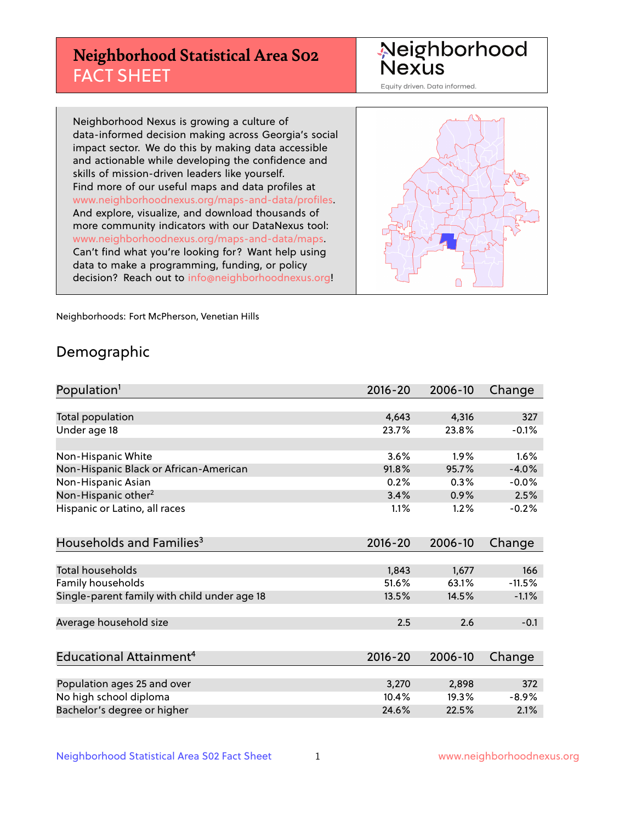# **Neighborhood Statistical Area S02** FACT SHEET

Neighborhood Nexus

Equity driven. Data informed.

Neighborhood Nexus is growing a culture of data-informed decision making across Georgia's social impact sector. We do this by making data accessible and actionable while developing the confidence and skills of mission-driven leaders like yourself. Find more of our useful maps and data profiles at www.neighborhoodnexus.org/maps-and-data/profiles. And explore, visualize, and download thousands of more community indicators with our DataNexus tool: www.neighborhoodnexus.org/maps-and-data/maps. Can't find what you're looking for? Want help using data to make a programming, funding, or policy decision? Reach out to [info@neighborhoodnexus.org!](mailto:info@neighborhoodnexus.org)



Neighborhoods: Fort McPherson, Venetian Hills

### Demographic

| Population <sup>1</sup>                      | $2016 - 20$ | 2006-10 | Change   |
|----------------------------------------------|-------------|---------|----------|
|                                              |             |         |          |
| <b>Total population</b>                      | 4,643       | 4,316   | 327      |
| Under age 18                                 | 23.7%       | 23.8%   | $-0.1%$  |
|                                              |             |         |          |
| Non-Hispanic White                           | 3.6%        | 1.9%    | 1.6%     |
| Non-Hispanic Black or African-American       | 91.8%       | 95.7%   | $-4.0%$  |
| Non-Hispanic Asian                           | 0.2%        | 0.3%    | $-0.0%$  |
| Non-Hispanic other <sup>2</sup>              | 3.4%        | 0.9%    | 2.5%     |
| Hispanic or Latino, all races                | 1.1%        | 1.2%    | $-0.2%$  |
|                                              |             |         |          |
| Households and Families <sup>3</sup>         | 2016-20     | 2006-10 | Change   |
|                                              |             |         |          |
| Total households                             | 1,843       | 1,677   | 166      |
| Family households                            | 51.6%       | 63.1%   | $-11.5%$ |
| Single-parent family with child under age 18 | 13.5%       | 14.5%   | $-1.1%$  |
|                                              |             |         |          |
| Average household size                       | 2.5         | 2.6     | $-0.1$   |
|                                              |             |         |          |
| Educational Attainment <sup>4</sup>          | 2016-20     | 2006-10 | Change   |
|                                              |             |         |          |
| Population ages 25 and over                  | 3,270       | 2,898   | 372      |
| No high school diploma                       | 10.4%       | 19.3%   | $-8.9%$  |
| Bachelor's degree or higher                  | 24.6%       | 22.5%   | 2.1%     |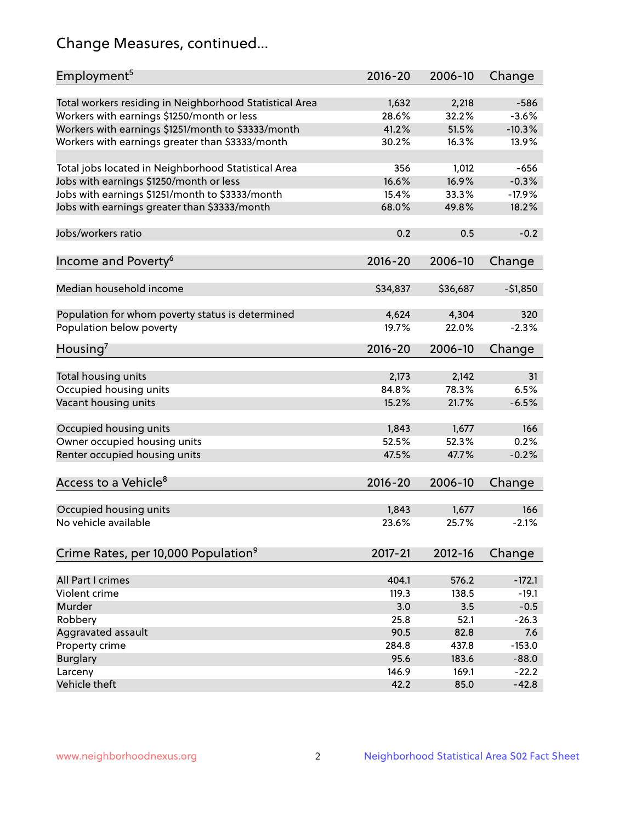# Change Measures, continued...

| Employment <sup>5</sup>                                 | $2016 - 20$ | 2006-10  | Change    |
|---------------------------------------------------------|-------------|----------|-----------|
| Total workers residing in Neighborhood Statistical Area | 1,632       | 2,218    | $-586$    |
| Workers with earnings \$1250/month or less              | 28.6%       | 32.2%    | $-3.6%$   |
| Workers with earnings \$1251/month to \$3333/month      | 41.2%       | 51.5%    | $-10.3%$  |
| Workers with earnings greater than \$3333/month         | 30.2%       | 16.3%    | 13.9%     |
|                                                         |             |          |           |
| Total jobs located in Neighborhood Statistical Area     | 356         | 1,012    | $-656$    |
| Jobs with earnings \$1250/month or less                 | 16.6%       | 16.9%    | $-0.3%$   |
| Jobs with earnings \$1251/month to \$3333/month         | 15.4%       | 33.3%    | $-17.9%$  |
| Jobs with earnings greater than \$3333/month            | 68.0%       | 49.8%    | 18.2%     |
|                                                         |             |          |           |
| Jobs/workers ratio                                      | 0.2         | 0.5      | $-0.2$    |
|                                                         |             |          |           |
| Income and Poverty <sup>6</sup>                         | 2016-20     | 2006-10  | Change    |
|                                                         |             |          |           |
| Median household income                                 | \$34,837    | \$36,687 | $-51,850$ |
|                                                         |             |          |           |
| Population for whom poverty status is determined        | 4,624       | 4,304    | 320       |
| Population below poverty                                | 19.7%       | 22.0%    | $-2.3%$   |
|                                                         |             |          |           |
| Housing <sup>7</sup>                                    | 2016-20     | 2006-10  | Change    |
|                                                         |             |          |           |
| Total housing units                                     | 2,173       | 2,142    | 31        |
| Occupied housing units                                  | 84.8%       | 78.3%    | 6.5%      |
| Vacant housing units                                    | 15.2%       | 21.7%    | $-6.5%$   |
|                                                         |             |          |           |
| Occupied housing units                                  | 1,843       | 1,677    | 166       |
| Owner occupied housing units                            | 52.5%       | 52.3%    | 0.2%      |
| Renter occupied housing units                           | 47.5%       | 47.7%    | $-0.2%$   |
|                                                         |             |          |           |
| Access to a Vehicle <sup>8</sup>                        | $2016 - 20$ | 2006-10  | Change    |
|                                                         |             |          |           |
| Occupied housing units                                  | 1,843       | 1,677    | 166       |
| No vehicle available                                    | 23.6%       | 25.7%    | $-2.1%$   |
|                                                         |             |          |           |
| Crime Rates, per 10,000 Population <sup>9</sup>         | 2017-21     | 2012-16  | Change    |
|                                                         |             |          |           |
| All Part I crimes                                       | 404.1       | 576.2    | $-172.1$  |
| Violent crime                                           | 119.3       | 138.5    | $-19.1$   |
| Murder                                                  | 3.0         | 3.5      | $-0.5$    |
| Robbery                                                 | 25.8        | 52.1     | $-26.3$   |
| Aggravated assault                                      | 90.5        | 82.8     | 7.6       |
| Property crime                                          | 284.8       | 437.8    | $-153.0$  |
| <b>Burglary</b>                                         | 95.6        | 183.6    | $-88.0$   |
| Larceny                                                 | 146.9       | 169.1    | $-22.2$   |
| Vehicle theft                                           | 42.2        | 85.0     | $-42.8$   |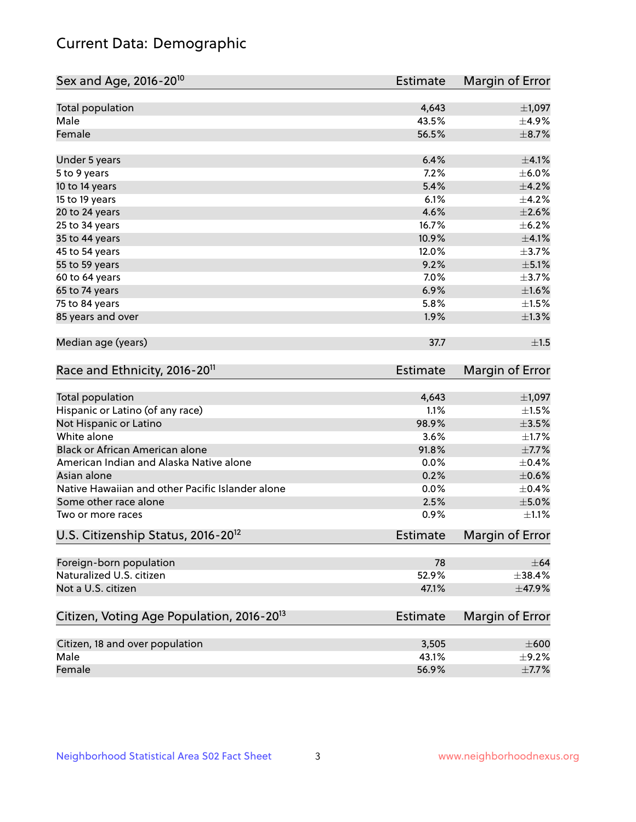# Current Data: Demographic

| Sex and Age, 2016-20 <sup>10</sup>                    | Estimate        | Margin of Error |
|-------------------------------------------------------|-----------------|-----------------|
| Total population                                      | 4,643           | $\pm$ 1,097     |
| Male                                                  | 43.5%           | $\pm$ 4.9%      |
| Female                                                | 56.5%           | $\pm$ 8.7%      |
| Under 5 years                                         | 6.4%            | $\pm 4.1\%$     |
| 5 to 9 years                                          | 7.2%            | $\pm$ 6.0%      |
| 10 to 14 years                                        | 5.4%            | $\pm$ 4.2%      |
| 15 to 19 years                                        | 6.1%            | $\pm$ 4.2%      |
| 20 to 24 years                                        | 4.6%            | $\pm 2.6\%$     |
| 25 to 34 years                                        | 16.7%           | $\pm$ 6.2%      |
| 35 to 44 years                                        | 10.9%           | $\pm$ 4.1%      |
| 45 to 54 years                                        | 12.0%           | $\pm$ 3.7%      |
| 55 to 59 years                                        | 9.2%            | $\pm$ 5.1%      |
| 60 to 64 years                                        | 7.0%            | $\pm$ 3.7%      |
| 65 to 74 years                                        | 6.9%            | $\pm1.6\%$      |
| 75 to 84 years                                        | 5.8%            | $\pm 1.5\%$     |
| 85 years and over                                     | 1.9%            | $\pm 1.3\%$     |
| Median age (years)                                    | 37.7            | ±1.5            |
| Race and Ethnicity, 2016-20 <sup>11</sup>             | <b>Estimate</b> | Margin of Error |
| Total population                                      | 4,643           | $\pm$ 1,097     |
| Hispanic or Latino (of any race)                      | 1.1%            | $\pm 1.5\%$     |
| Not Hispanic or Latino                                | 98.9%           | $\pm$ 3.5%      |
| White alone                                           | 3.6%            | $\pm 1.7\%$     |
| Black or African American alone                       | 91.8%           | $\pm$ 7.7%      |
| American Indian and Alaska Native alone               | 0.0%            | $\pm$ 0.4%      |
| Asian alone                                           | 0.2%            | $\pm$ 0.6%      |
| Native Hawaiian and other Pacific Islander alone      | 0.0%            | $\pm$ 0.4%      |
| Some other race alone                                 | 2.5%            | $\pm$ 5.0%      |
| Two or more races                                     | 0.9%            | $\pm 1.1\%$     |
| U.S. Citizenship Status, 2016-20 <sup>12</sup>        | <b>Estimate</b> | Margin of Error |
| Foreign-born population                               | 78              | $\pm$ 64        |
| Naturalized U.S. citizen                              | 52.9%           | ±38.4%          |
| Not a U.S. citizen                                    | 47.1%           | $\pm$ 47.9%     |
| Citizen, Voting Age Population, 2016-20 <sup>13</sup> | Estimate        | Margin of Error |
| Citizen, 18 and over population                       | 3,505           | $\pm 600$       |
| Male                                                  | 43.1%           | $\pm$ 9.2%      |
| Female                                                | 56.9%           | $\pm$ 7.7%      |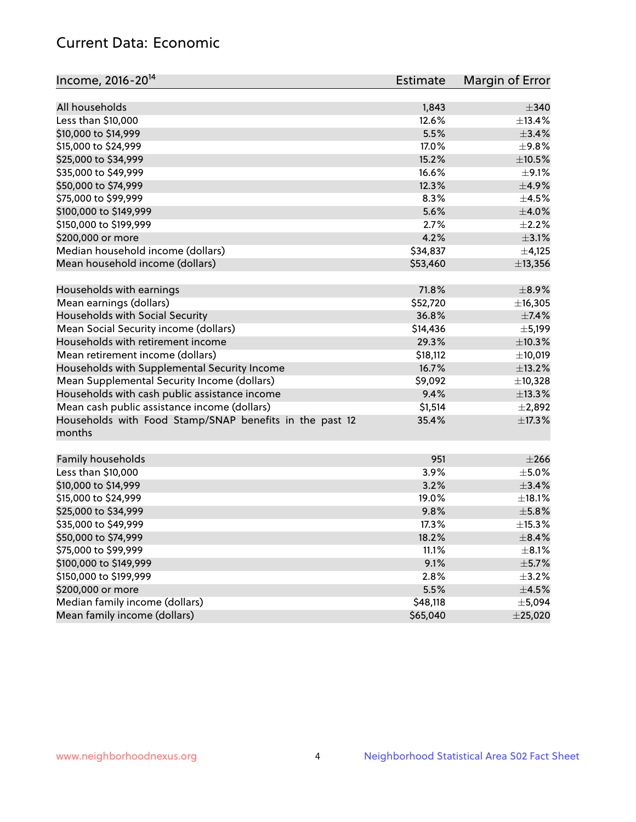# Current Data: Economic

| All households<br>1,843                                                    | $\pm$ 340   |
|----------------------------------------------------------------------------|-------------|
| Less than \$10,000<br>12.6%<br>±13.4%                                      |             |
| 5.5%<br>±3.4%<br>\$10,000 to \$14,999                                      |             |
| \$15,000 to \$24,999<br>17.0%<br>±9.8%                                     |             |
| \$25,000 to \$34,999<br>15.2%<br>$\pm$ 10.5%                               |             |
| 16.6%<br>\$35,000 to \$49,999                                              | $\pm$ 9.1%  |
| \$50,000 to \$74,999<br>12.3%<br>$\pm$ 4.9%                                |             |
| \$75,000 to \$99,999<br>8.3%<br>$\pm$ 4.5%                                 |             |
| 5.6%<br>$\pm 4.0\%$<br>\$100,000 to \$149,999                              |             |
| 2.7%<br>$\pm 2.2\%$<br>\$150,000 to \$199,999                              |             |
| 4.2%<br>\$200,000 or more                                                  | $\pm$ 3.1%  |
| Median household income (dollars)<br>\$34,837                              | $\pm$ 4,125 |
| Mean household income (dollars)<br>\$53,460<br>±13,356                     |             |
| Households with earnings<br>71.8%<br>$\pm$ 8.9%                            |             |
| Mean earnings (dollars)<br>\$52,720<br>±16,305                             |             |
| Households with Social Security<br>36.8%                                   | $\pm$ 7.4%  |
| Mean Social Security income (dollars)<br>\$14,436<br>$\pm$ 5,199           |             |
| Households with retirement income<br>29.3%<br>±10.3%                       |             |
| Mean retirement income (dollars)<br>\$18,112<br>±10,019                    |             |
| Households with Supplemental Security Income<br>16.7%<br>±13.2%            |             |
| \$9,092<br>Mean Supplemental Security Income (dollars)<br>±10,328          |             |
| Households with cash public assistance income<br>9.4%<br>±13.3%            |             |
| Mean cash public assistance income (dollars)<br>\$1,514<br>±2,892          |             |
| Households with Food Stamp/SNAP benefits in the past 12<br>35.4%<br>±17.3% |             |
| months                                                                     |             |
| Family households<br>951                                                   | $\pm 266$   |
| 3.9%<br>Less than \$10,000<br>$\pm$ 5.0%                                   |             |
| 3.2%<br>$\pm$ 3.4%<br>\$10,000 to \$14,999                                 |             |
| $\pm$ 18.1%<br>\$15,000 to \$24,999<br>19.0%                               |             |
| $\pm$ 5.8%<br>\$25,000 to \$34,999<br>9.8%                                 |             |
| \$35,000 to \$49,999<br>17.3%<br>±15.3%                                    |             |
| $\pm$ 8.4%<br>\$50,000 to \$74,999<br>18.2%                                |             |
| \$75,000 to \$99,999<br>11.1%                                              | $\pm$ 8.1%  |
| \$100,000 to \$149,999<br>9.1%<br>$\pm$ 5.7%                               |             |
| \$150,000 to \$199,999<br>2.8%<br>$\pm$ 3.2%                               |             |
| \$200,000 or more<br>5.5%<br>$\pm 4.5\%$                                   |             |
| Median family income (dollars)<br>\$48,118<br>±5,094                       |             |
| Mean family income (dollars)<br>\$65,040<br>±25,020                        |             |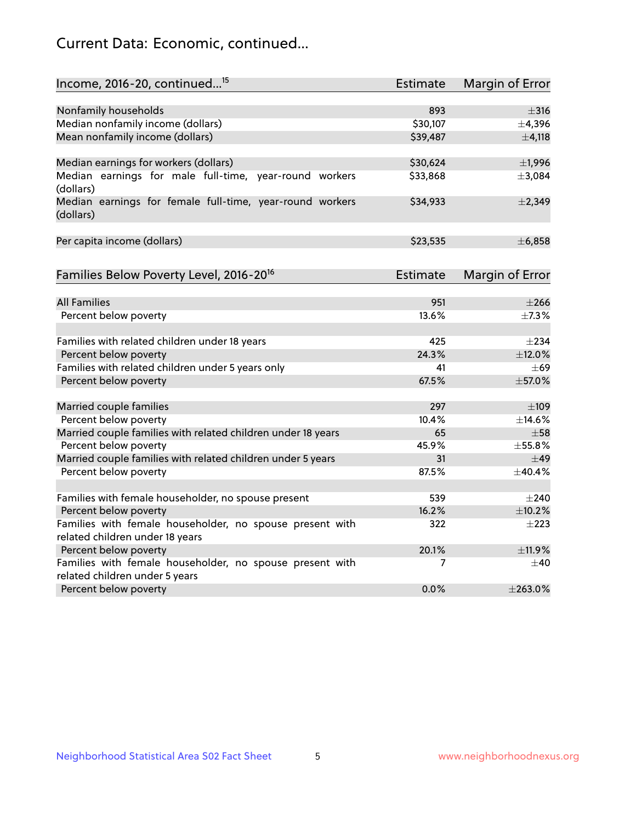# Current Data: Economic, continued...

| Income, 2016-20, continued <sup>15</sup>                                                   | <b>Estimate</b> | Margin of Error        |
|--------------------------------------------------------------------------------------------|-----------------|------------------------|
|                                                                                            |                 |                        |
| Nonfamily households                                                                       | 893<br>\$30,107 | $\pm$ 316              |
| Median nonfamily income (dollars)                                                          |                 | ±4,396                 |
| Mean nonfamily income (dollars)                                                            | \$39,487        | $\pm$ 4,118            |
| Median earnings for workers (dollars)                                                      | \$30,624        | $\pm$ 1,996            |
| Median earnings for male full-time, year-round workers<br>(dollars)                        | \$33,868        | ±3,084                 |
| Median earnings for female full-time, year-round workers<br>(dollars)                      | \$34,933        | ±2,349                 |
| Per capita income (dollars)                                                                | \$23,535        | ±6,858                 |
| Families Below Poverty Level, 2016-20 <sup>16</sup>                                        | Estimate        | <b>Margin of Error</b> |
|                                                                                            |                 |                        |
| <b>All Families</b>                                                                        | 951             | $\pm 266$              |
| Percent below poverty                                                                      | 13.6%           | $\pm$ 7.3%             |
| Families with related children under 18 years                                              | 425             | $\pm 234$              |
| Percent below poverty                                                                      | 24.3%           | ±12.0%                 |
| Families with related children under 5 years only                                          | 41              | $+69$                  |
| Percent below poverty                                                                      | 67.5%           | $\pm$ 57.0%            |
| Married couple families                                                                    | 297             | $\pm 109$              |
| Percent below poverty                                                                      | 10.4%           | ±14.6%                 |
| Married couple families with related children under 18 years                               | 65              | $\pm 58$               |
| Percent below poverty                                                                      | 45.9%           | ±55.8%                 |
| Married couple families with related children under 5 years                                | 31              | $\pm$ 49               |
| Percent below poverty                                                                      | 87.5%           | ±40.4%                 |
|                                                                                            |                 |                        |
| Families with female householder, no spouse present                                        | 539             | $\pm 240$              |
| Percent below poverty                                                                      | 16.2%           | ±10.2%                 |
| Families with female householder, no spouse present with                                   | 322             | $\pm 223$              |
| related children under 18 years                                                            |                 |                        |
| Percent below poverty                                                                      | 20.1%           | ±11.9%                 |
| Families with female householder, no spouse present with<br>related children under 5 years | 7               | $\pm 40$               |
| Percent below poverty                                                                      | 0.0%            | ±263.0%                |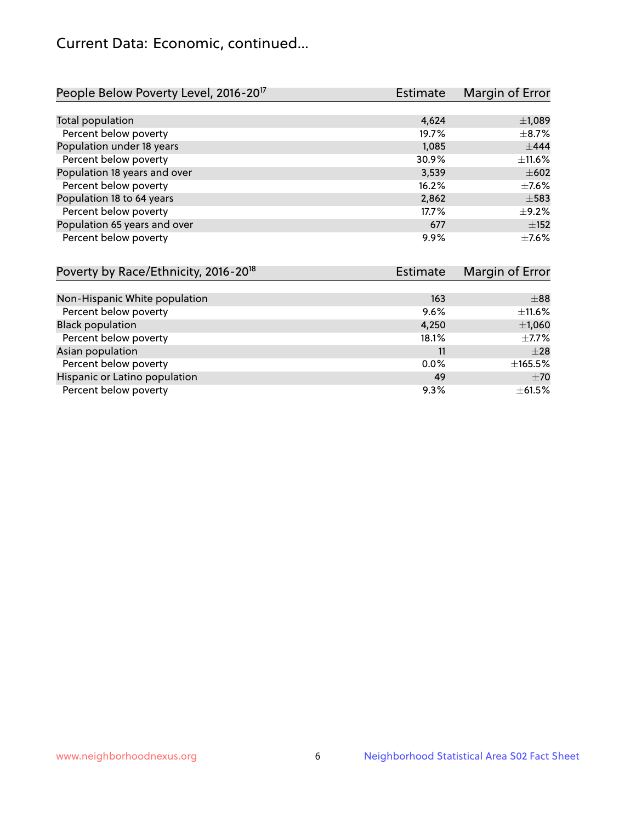# Current Data: Economic, continued...

| People Below Poverty Level, 2016-20 <sup>17</sup> | <b>Estimate</b> | Margin of Error |
|---------------------------------------------------|-----------------|-----------------|
|                                                   |                 |                 |
| Total population                                  | 4,624           | $\pm$ 1,089     |
| Percent below poverty                             | 19.7%           | $\pm$ 8.7%      |
| Population under 18 years                         | 1,085           | ±444            |
| Percent below poverty                             | 30.9%           | $\pm$ 11.6%     |
| Population 18 years and over                      | 3,539           | $\pm 602$       |
| Percent below poverty                             | 16.2%           | $\pm$ 7.6%      |
| Population 18 to 64 years                         | 2,862           | $\pm$ 583       |
| Percent below poverty                             | 17.7%           | $\pm$ 9.2%      |
| Population 65 years and over                      | 677             | $\pm$ 152       |
| Percent below poverty                             | 9.9%            | $+7.6%$         |

| Poverty by Race/Ethnicity, 2016-20 <sup>18</sup> | Estimate |            |
|--------------------------------------------------|----------|------------|
|                                                  |          |            |
| Non-Hispanic White population                    | 163      | $\pm$ 88   |
| Percent below poverty                            | 9.6%     | ±11.6%     |
| <b>Black population</b>                          | 4,250    | ±1,060     |
| Percent below poverty                            | 18.1%    | $\pm$ 7.7% |
| Asian population                                 | 11       | $\pm 28$   |
| Percent below poverty                            | $0.0\%$  | ±165.5%    |
| Hispanic or Latino population                    | 49       | ±70        |
| Percent below poverty                            | 9.3%     | ±61.5%     |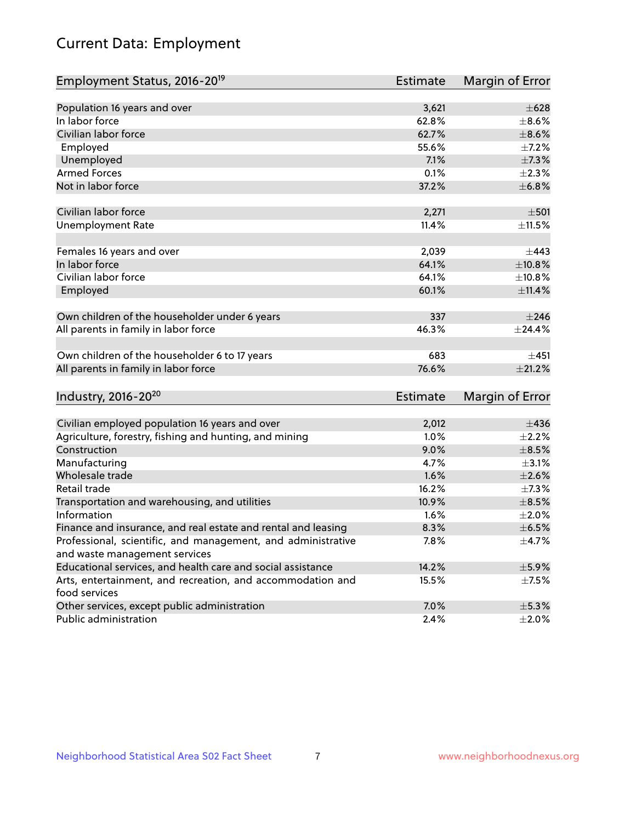# Current Data: Employment

| Employment Status, 2016-20 <sup>19</sup>                      | Estimate        | Margin of Error |
|---------------------------------------------------------------|-----------------|-----------------|
|                                                               |                 |                 |
| Population 16 years and over                                  | 3,621           | $\pm 628$       |
| In labor force                                                | 62.8%           | $\pm$ 8.6%      |
| Civilian labor force                                          | 62.7%           | $\pm$ 8.6%      |
| Employed                                                      | 55.6%           | $\pm$ 7.2%      |
| Unemployed                                                    | 7.1%            | $\pm$ 7.3%      |
| <b>Armed Forces</b>                                           | 0.1%            | $\pm 2.3\%$     |
| Not in labor force                                            | 37.2%           | ±6.8%           |
| Civilian labor force                                          | 2,271           | $\pm 501$       |
| <b>Unemployment Rate</b>                                      | 11.4%           | $\pm$ 11.5%     |
| Females 16 years and over                                     | 2,039           | $\pm$ 443       |
| In labor force                                                | 64.1%           | ±10.8%          |
| Civilian labor force                                          | 64.1%           | ±10.8%          |
| Employed                                                      | 60.1%           | $\pm$ 11.4%     |
| Own children of the householder under 6 years                 | 337             | $\pm 246$       |
| All parents in family in labor force                          | 46.3%           | ±24.4%          |
| Own children of the householder 6 to 17 years                 | 683             | ±451            |
| All parents in family in labor force                          | 76.6%           | $\pm 21.2\%$    |
| Industry, 2016-20 <sup>20</sup>                               | <b>Estimate</b> |                 |
|                                                               |                 | Margin of Error |
| Civilian employed population 16 years and over                | 2,012           | $\pm$ 436       |
| Agriculture, forestry, fishing and hunting, and mining        | 1.0%            | $\pm 2.2\%$     |
| Construction                                                  | 9.0%            | $\pm$ 8.5%      |
| Manufacturing                                                 | 4.7%            | $\pm$ 3.1%      |
| Wholesale trade                                               | 1.6%            | $\pm 2.6\%$     |
| Retail trade                                                  | 16.2%           | $\pm$ 7.3%      |
| Transportation and warehousing, and utilities                 | 10.9%           | $\pm$ 8.5%      |
| Information                                                   | 1.6%            | $\pm 2.0\%$     |
| Finance and insurance, and real estate and rental and leasing | 8.3%            | $\pm$ 6.5%      |
| Professional, scientific, and management, and administrative  | 7.8%            | $\pm$ 4.7%      |
| and waste management services                                 |                 |                 |
| Educational services, and health care and social assistance   | 14.2%           | $\pm$ 5.9%      |
| Arts, entertainment, and recreation, and accommodation and    | 15.5%           | $\pm$ 7.5%      |
| food services                                                 |                 |                 |
| Other services, except public administration                  | 7.0%            | ±5.3%           |
| Public administration                                         | 2.4%            | $\pm 2.0\%$     |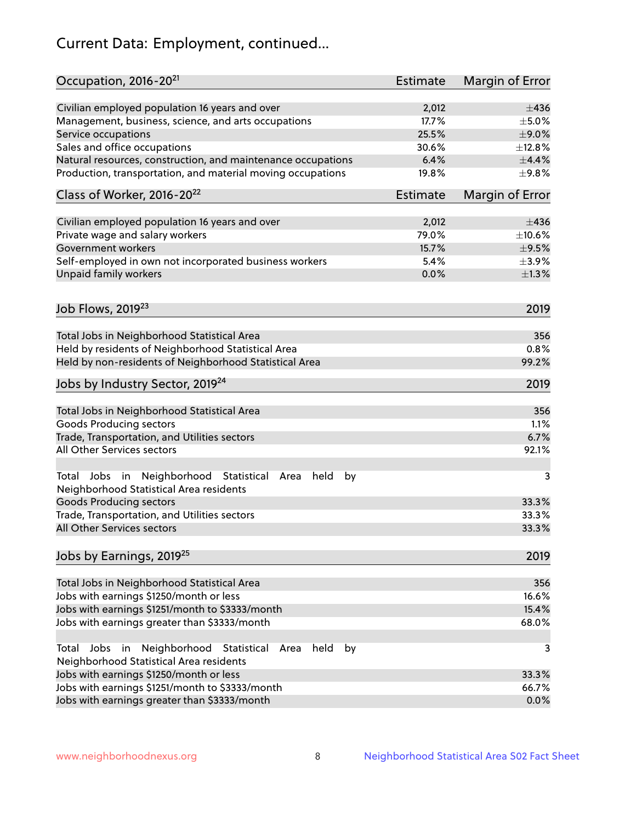# Current Data: Employment, continued...

| Occupation, 2016-20 <sup>21</sup>                                                                       | <b>Estimate</b> | Margin of Error |
|---------------------------------------------------------------------------------------------------------|-----------------|-----------------|
| Civilian employed population 16 years and over                                                          | 2,012           | $\pm 436$       |
| Management, business, science, and arts occupations                                                     | 17.7%           | $\pm$ 5.0%      |
| Service occupations                                                                                     | 25.5%           | $\pm$ 9.0%      |
| Sales and office occupations                                                                            | 30.6%           | ±12.8%          |
| Natural resources, construction, and maintenance occupations                                            | 6.4%            | $\pm$ 4.4%      |
| Production, transportation, and material moving occupations                                             | 19.8%           | $\pm$ 9.8%      |
| Class of Worker, 2016-20 <sup>22</sup>                                                                  | <b>Estimate</b> | Margin of Error |
| Civilian employed population 16 years and over                                                          | 2,012           | $\pm$ 436       |
| Private wage and salary workers                                                                         | 79.0%           | $\pm$ 10.6%     |
| Government workers                                                                                      | 15.7%           | $\pm$ 9.5%      |
| Self-employed in own not incorporated business workers                                                  | 5.4%            | $\pm$ 3.9%      |
| Unpaid family workers                                                                                   | 0.0%            | $\pm 1.3\%$     |
|                                                                                                         |                 |                 |
| Job Flows, 2019 <sup>23</sup>                                                                           |                 | 2019            |
| Total Jobs in Neighborhood Statistical Area                                                             |                 | 356             |
| Held by residents of Neighborhood Statistical Area                                                      |                 | 0.8%            |
| Held by non-residents of Neighborhood Statistical Area                                                  |                 | 99.2%           |
| Jobs by Industry Sector, 2019 <sup>24</sup>                                                             |                 | 2019            |
| Total Jobs in Neighborhood Statistical Area                                                             |                 | 356             |
| <b>Goods Producing sectors</b>                                                                          |                 | 1.1%            |
| Trade, Transportation, and Utilities sectors                                                            |                 | 6.7%            |
| All Other Services sectors                                                                              |                 | 92.1%           |
| Total Jobs in Neighborhood Statistical<br>held<br>by<br>Area<br>Neighborhood Statistical Area residents |                 | 3               |
| <b>Goods Producing sectors</b>                                                                          |                 | 33.3%           |
| Trade, Transportation, and Utilities sectors                                                            |                 | 33.3%           |
| All Other Services sectors                                                                              |                 | 33.3%           |
| Jobs by Earnings, 2019 <sup>25</sup>                                                                    |                 | 2019            |
| Total Jobs in Neighborhood Statistical Area                                                             |                 | 356             |
| Jobs with earnings \$1250/month or less                                                                 |                 | 16.6%           |
| Jobs with earnings \$1251/month to \$3333/month                                                         |                 | 15.4%           |
| Jobs with earnings greater than \$3333/month                                                            |                 | 68.0%           |
| Neighborhood Statistical<br>Jobs<br>in<br>held<br>by<br>Total<br>Area                                   |                 | 3               |
| Neighborhood Statistical Area residents                                                                 |                 |                 |
| Jobs with earnings \$1250/month or less                                                                 |                 | 33.3%           |
| Jobs with earnings \$1251/month to \$3333/month                                                         |                 | 66.7%           |
| Jobs with earnings greater than \$3333/month                                                            |                 | 0.0%            |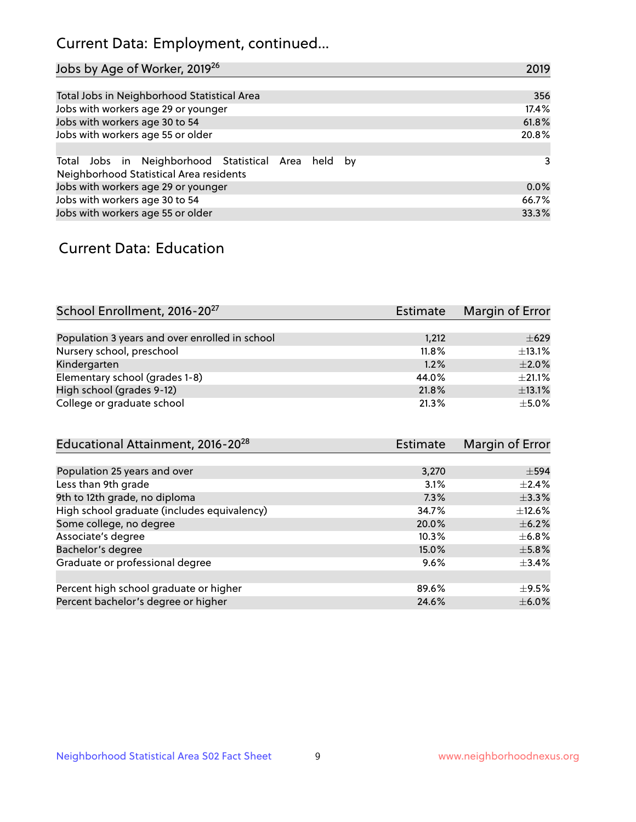# Current Data: Employment, continued...

| Jobs by Age of Worker, 2019 <sup>26</sup>                                                      | 2019  |
|------------------------------------------------------------------------------------------------|-------|
|                                                                                                |       |
| Total Jobs in Neighborhood Statistical Area                                                    | 356   |
| Jobs with workers age 29 or younger                                                            | 17.4% |
| Jobs with workers age 30 to 54                                                                 | 61.8% |
| Jobs with workers age 55 or older                                                              | 20.8% |
|                                                                                                |       |
| Total Jobs in Neighborhood Statistical Area held by<br>Neighborhood Statistical Area residents | 3     |
| Jobs with workers age 29 or younger                                                            | 0.0%  |
| Jobs with workers age 30 to 54                                                                 | 66.7% |
| Jobs with workers age 55 or older                                                              | 33.3% |

### Current Data: Education

| School Enrollment, 2016-20 <sup>27</sup>       | <b>Estimate</b> | Margin of Error |
|------------------------------------------------|-----------------|-----------------|
|                                                |                 |                 |
| Population 3 years and over enrolled in school | 1,212           | $\pm 629$       |
| Nursery school, preschool                      | 11.8%           | $\pm$ 13.1%     |
| Kindergarten                                   | 1.2%            | $\pm 2.0\%$     |
| Elementary school (grades 1-8)                 | 44.0%           | $\pm 21.1\%$    |
| High school (grades 9-12)                      | 21.8%           | ±13.1%          |
| College or graduate school                     | 21.3%           | $\pm$ 5.0%      |

| Educational Attainment, 2016-20 <sup>28</sup> | <b>Estimate</b> | Margin of Error |
|-----------------------------------------------|-----------------|-----------------|
|                                               |                 |                 |
| Population 25 years and over                  | 3,270           | $\pm$ 594       |
| Less than 9th grade                           | 3.1%            | $\pm 2.4\%$     |
| 9th to 12th grade, no diploma                 | 7.3%            | $\pm$ 3.3%      |
| High school graduate (includes equivalency)   | 34.7%           | $+12.6%$        |
| Some college, no degree                       | 20.0%           | $\pm$ 6.2%      |
| Associate's degree                            | 10.3%           | $\pm$ 6.8%      |
| Bachelor's degree                             | 15.0%           | $\pm$ 5.8%      |
| Graduate or professional degree               | 9.6%            | $\pm$ 3.4%      |
|                                               |                 |                 |
| Percent high school graduate or higher        | 89.6%           | $\pm$ 9.5%      |
| Percent bachelor's degree or higher           | 24.6%           | $\pm$ 6.0%      |
|                                               |                 |                 |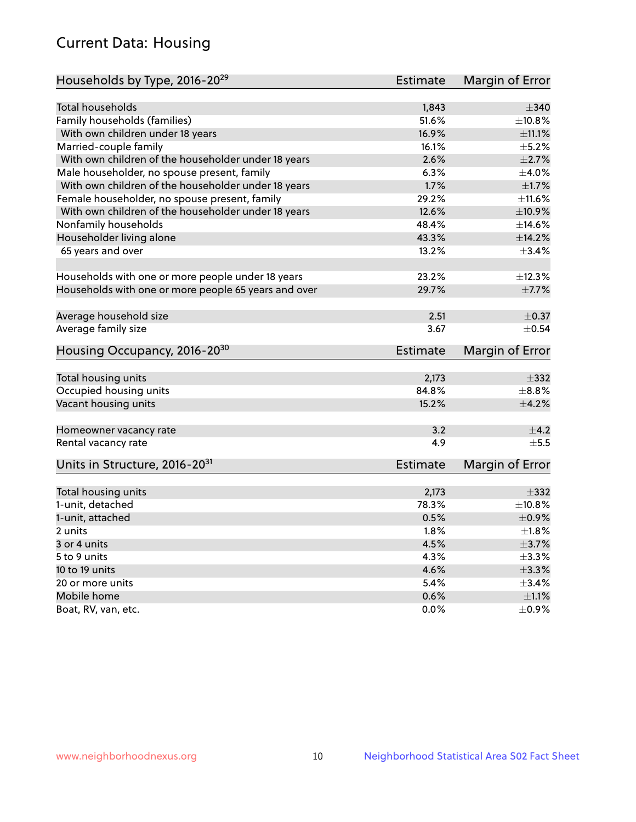# Current Data: Housing

| Households by Type, 2016-20 <sup>29</sup>            | <b>Estimate</b> | Margin of Error |
|------------------------------------------------------|-----------------|-----------------|
|                                                      |                 |                 |
| <b>Total households</b>                              | 1,843           | $\pm$ 340       |
| Family households (families)                         | 51.6%           | $\pm$ 10.8%     |
| With own children under 18 years                     | 16.9%           | $\pm$ 11.1%     |
| Married-couple family                                | 16.1%           | $\pm$ 5.2%      |
| With own children of the householder under 18 years  | 2.6%            | $\pm 2.7\%$     |
| Male householder, no spouse present, family          | 6.3%            | $\pm$ 4.0%      |
| With own children of the householder under 18 years  | 1.7%            | $\pm$ 1.7%      |
| Female householder, no spouse present, family        | 29.2%           | ±11.6%          |
| With own children of the householder under 18 years  | 12.6%           | $\pm$ 10.9%     |
| Nonfamily households                                 | 48.4%           | ±14.6%          |
| Householder living alone                             | 43.3%           | ±14.2%          |
| 65 years and over                                    | 13.2%           | ±3.4%           |
|                                                      |                 |                 |
| Households with one or more people under 18 years    | 23.2%           | ±12.3%          |
| Households with one or more people 65 years and over | 29.7%           | $\pm$ 7.7%      |
|                                                      |                 |                 |
| Average household size                               | 2.51            | $\pm$ 0.37      |
| Average family size                                  | 3.67            | $\pm$ 0.54      |
| Housing Occupancy, 2016-20 <sup>30</sup>             | <b>Estimate</b> | Margin of Error |
|                                                      |                 |                 |
| Total housing units                                  | 2,173           | $\pm$ 332       |
| Occupied housing units                               | 84.8%           | $\pm$ 8.8%      |
| Vacant housing units                                 | 15.2%           | $\pm 4.2\%$     |
| Homeowner vacancy rate                               | 3.2             | $\pm$ 4.2       |
| Rental vacancy rate                                  | 4.9             | $\pm$ 5.5       |
| Units in Structure, 2016-20 <sup>31</sup>            | <b>Estimate</b> | Margin of Error |
|                                                      |                 |                 |
| Total housing units                                  | 2,173           | $\pm$ 332       |
| 1-unit, detached                                     | 78.3%           | $\pm$ 10.8%     |
| 1-unit, attached                                     | 0.5%            | $\pm$ 0.9%      |
| 2 units                                              | 1.8%            | $\pm 1.8\%$     |
| 3 or 4 units                                         | 4.5%            | $\pm$ 3.7%      |
| 5 to 9 units                                         | 4.3%            | $\pm$ 3.3%      |
| 10 to 19 units                                       | 4.6%            | $\pm$ 3.3%      |
| 20 or more units                                     | 5.4%            | $\pm$ 3.4%      |
| Mobile home                                          | 0.6%            | $\pm 1.1\%$     |
| Boat, RV, van, etc.                                  | $0.0\%$         | $\pm$ 0.9%      |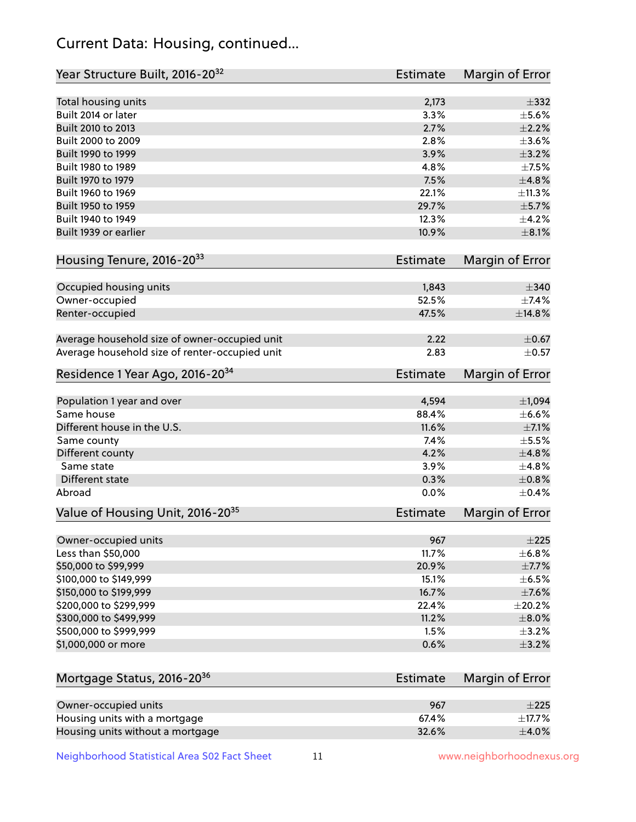# Current Data: Housing, continued...

| Year Structure Built, 2016-20 <sup>32</sup>    | <b>Estimate</b> | Margin of Error |
|------------------------------------------------|-----------------|-----------------|
| Total housing units                            | 2,173           | $\pm$ 332       |
| Built 2014 or later                            | 3.3%            | $\pm$ 5.6%      |
| Built 2010 to 2013                             | 2.7%            | $\pm 2.2\%$     |
| Built 2000 to 2009                             | 2.8%            | $\pm 3.6\%$     |
| Built 1990 to 1999                             | 3.9%            | $\pm$ 3.2%      |
| Built 1980 to 1989                             | 4.8%            | $\pm$ 7.5%      |
| Built 1970 to 1979                             | 7.5%            | ±4.8%           |
| Built 1960 to 1969                             | 22.1%           | ±11.3%          |
| Built 1950 to 1959                             | 29.7%           | $\pm$ 5.7%      |
| Built 1940 to 1949                             | 12.3%           | $\pm$ 4.2%      |
| Built 1939 or earlier                          | 10.9%           | $\pm 8.1\%$     |
| Housing Tenure, 2016-2033                      | <b>Estimate</b> | Margin of Error |
| Occupied housing units                         | 1,843           | $\pm$ 340       |
| Owner-occupied                                 | 52.5%           | $\pm$ 7.4%      |
| Renter-occupied                                | 47.5%           | ±14.8%          |
|                                                |                 |                 |
| Average household size of owner-occupied unit  | 2.22            | $\pm$ 0.67      |
| Average household size of renter-occupied unit | 2.83            | $\pm$ 0.57      |
| Residence 1 Year Ago, 2016-20 <sup>34</sup>    | <b>Estimate</b> | Margin of Error |
| Population 1 year and over                     | 4,594           | ±1,094          |
| Same house                                     | 88.4%           | $\pm$ 6.6%      |
| Different house in the U.S.                    | 11.6%           | $\pm$ 7.1%      |
| Same county                                    | 7.4%            | $\pm$ 5.5%      |
| Different county                               | 4.2%            | ±4.8%           |
| Same state                                     | 3.9%            | ±4.8%           |
| Different state                                | 0.3%            | $\pm$ 0.8%      |
| Abroad                                         | 0.0%            | $\pm$ 0.4%      |
| Value of Housing Unit, 2016-20 <sup>35</sup>   | <b>Estimate</b> | Margin of Error |
| Owner-occupied units                           | 967             | $\pm 225$       |
| Less than \$50,000                             | 11.7%           | ±6.8%           |
| \$50,000 to \$99,999                           | 20.9%           | $\pm$ 7.7%      |
| \$100,000 to \$149,999                         | 15.1%           | $\pm$ 6.5%      |
| \$150,000 to \$199,999                         | 16.7%           | $\pm$ 7.6%      |
| \$200,000 to \$299,999                         | 22.4%           | $\pm 20.2\%$    |
| \$300,000 to \$499,999                         | 11.2%           | $\pm$ 8.0%      |
| \$500,000 to \$999,999                         | 1.5%            | $\pm$ 3.2%      |
| \$1,000,000 or more                            | 0.6%            | $\pm$ 3.2%      |
|                                                |                 |                 |
| Mortgage Status, 2016-20 <sup>36</sup>         | <b>Estimate</b> | Margin of Error |
| Owner-occupied units                           | 967             | $\pm 225$       |
| Housing units with a mortgage                  | 67.4%           | $\pm$ 17.7%     |
| Housing units without a mortgage               | 32.6%           | $\pm$ 4.0%      |

Neighborhood Statistical Area S02 Fact Sheet 11 11 www.neighborhoodnexus.org

Housing units without a mortgage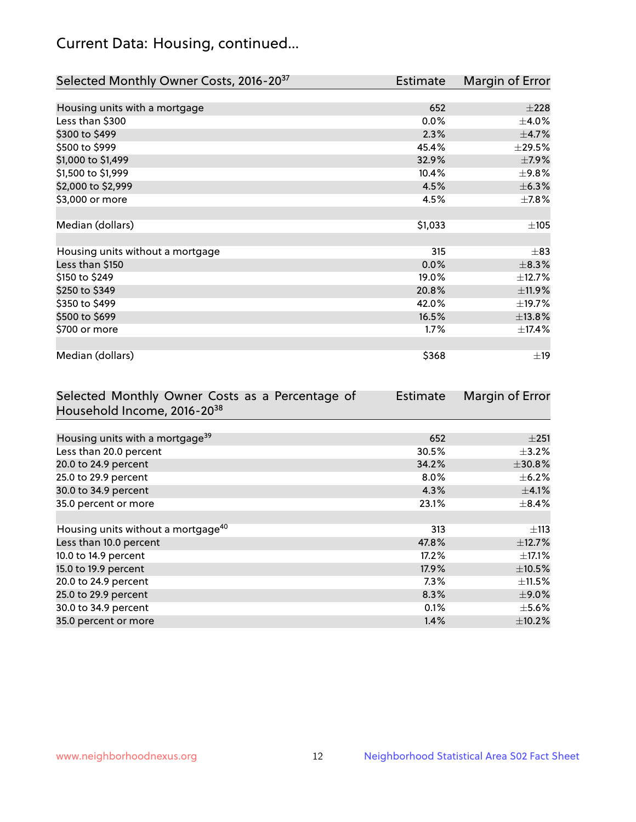# Current Data: Housing, continued...

| Selected Monthly Owner Costs, 2016-20 <sup>37</sup> | Estimate | Margin of Error |
|-----------------------------------------------------|----------|-----------------|
|                                                     |          |                 |
| Housing units with a mortgage                       | 652      | $\pm 228$       |
| Less than \$300                                     | 0.0%     | $\pm$ 4.0%      |
| \$300 to \$499                                      | 2.3%     | $\pm$ 4.7%      |
| \$500 to \$999                                      | 45.4%    | $\pm 29.5\%$    |
| \$1,000 to \$1,499                                  | 32.9%    | $\pm$ 7.9%      |
| \$1,500 to \$1,999                                  | 10.4%    | $\pm$ 9.8%      |
| \$2,000 to \$2,999                                  | 4.5%     | ±6.3%           |
| \$3,000 or more                                     | 4.5%     | $\pm$ 7.8%      |
|                                                     |          |                 |
| Median (dollars)                                    | \$1,033  | ±105            |
|                                                     |          |                 |
| Housing units without a mortgage                    | 315      | $\pm$ 83        |
| Less than \$150                                     | 0.0%     | $\pm$ 8.3%      |
| \$150 to \$249                                      | 19.0%    | $\pm$ 12.7%     |
| \$250 to \$349                                      | 20.8%    | ±11.9%          |
| \$350 to \$499                                      | 42.0%    | ±19.7%          |
| \$500 to \$699                                      | 16.5%    | ±13.8%          |
| \$700 or more                                       | 1.7%     | ±17.4%          |
|                                                     |          |                 |
| Median (dollars)                                    | \$368    | $\pm$ 19        |

| Selected Monthly Owner Costs as a Percentage of | <b>Estimate</b> | Margin of Error |
|-------------------------------------------------|-----------------|-----------------|
| Household Income, 2016-20 <sup>38</sup>         |                 |                 |
|                                                 |                 |                 |
| Housing units with a mortgage <sup>39</sup>     | 652             | $\pm 251$       |
| Less than 20.0 percent                          | 30.5%           | $\pm$ 3.2%      |
| 20.0 to 24.9 percent                            | 34.2%           | ±30.8%          |
| 25.0 to 29.9 percent                            | $8.0\%$         | $\pm$ 6.2%      |
| 30.0 to 34.9 percent                            | 4.3%            | $\pm$ 4.1%      |
| 35.0 percent or more                            | 23.1%           | $\pm$ 8.4%      |
|                                                 |                 |                 |
| Housing units without a mortgage <sup>40</sup>  | 313             | $\pm$ 113       |
| Less than 10.0 percent                          | 47.8%           | $\pm$ 12.7%     |
| 10.0 to 14.9 percent                            | 17.2%           | $\pm$ 17.1%     |
| 15.0 to 19.9 percent                            | 17.9%           | $\pm$ 10.5%     |
| 20.0 to 24.9 percent                            | 7.3%            | $\pm$ 11.5%     |
| 25.0 to 29.9 percent                            | 8.3%            | $\pm$ 9.0%      |
| 30.0 to 34.9 percent                            | 0.1%            | $\pm$ 5.6%      |
| 35.0 percent or more                            | 1.4%            | $\pm$ 10.2%     |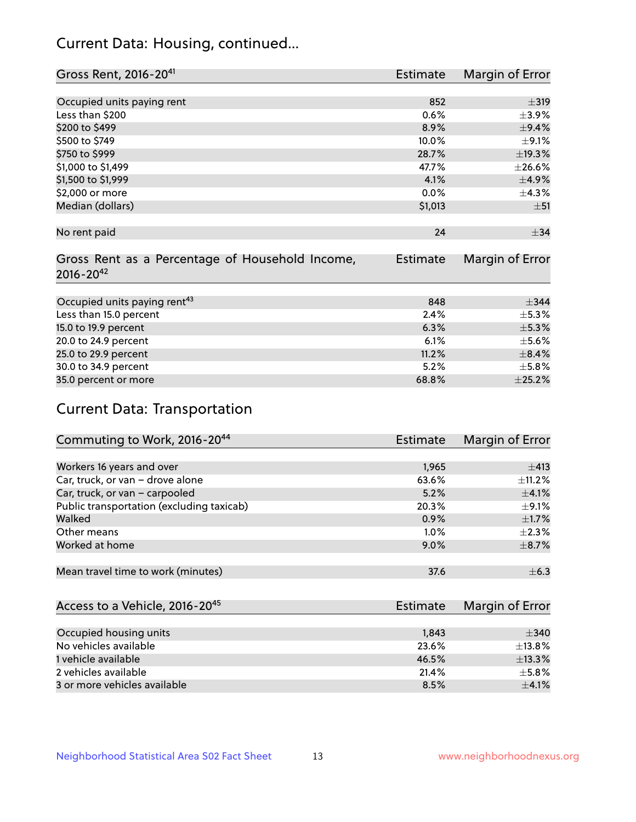# Current Data: Housing, continued...

| Gross Rent, 2016-20 <sup>41</sup>               | <b>Estimate</b> | Margin of Error |
|-------------------------------------------------|-----------------|-----------------|
|                                                 |                 |                 |
| Occupied units paying rent                      | 852             | $\pm$ 319       |
| Less than \$200                                 | 0.6%            | $\pm$ 3.9%      |
| \$200 to \$499                                  | 8.9%            | ±9.4%           |
| \$500 to \$749                                  | 10.0%           | $\pm$ 9.1%      |
| \$750 to \$999                                  | 28.7%           | ±19.3%          |
| \$1,000 to \$1,499                              | 47.7%           | ±26.6%          |
| \$1,500 to \$1,999                              | 4.1%            | $\pm$ 4.9%      |
| \$2,000 or more                                 | 0.0%            | ±4.3%           |
| Median (dollars)                                | \$1,013         | ±51             |
|                                                 |                 |                 |
| No rent paid                                    | 24              | $\pm$ 34        |
|                                                 |                 |                 |
| Gross Rent as a Percentage of Household Income, | <b>Estimate</b> | Margin of Error |
| $2016 - 20^{42}$                                |                 |                 |
|                                                 |                 |                 |
| Occupied units paying rent <sup>43</sup>        | 848             | $\pm$ 344       |
| Less than 15.0 percent                          | 2.4%            | $\pm$ 5.3%      |
| 15.0 to 19.9 percent                            | 6.3%            | $\pm$ 5.3%      |
| 20.0 to 24.9 percent                            | 6.1%            | $\pm$ 5.6%      |
| 25.0 to 29.9 percent                            | 11.2%           | $\pm$ 8.4%      |
| 30.0 to 34.9 percent                            | 5.2%            | $\pm$ 5.8%      |
| 35.0 percent or more                            | 68.8%           | $\pm 25.2\%$    |

# Current Data: Transportation

| Commuting to Work, 2016-20 <sup>44</sup>  | <b>Estimate</b> | Margin of Error |
|-------------------------------------------|-----------------|-----------------|
|                                           |                 |                 |
| Workers 16 years and over                 | 1,965           | ±413            |
| Car, truck, or van - drove alone          | 63.6%           | $\pm$ 11.2%     |
| Car, truck, or van - carpooled            | 5.2%            | $\pm$ 4.1%      |
| Public transportation (excluding taxicab) | 20.3%           | $\pm$ 9.1%      |
| Walked                                    | 0.9%            | $\pm$ 1.7%      |
| Other means                               | $1.0\%$         | $\pm 2.3\%$     |
| Worked at home                            | 9.0%            | $\pm$ 8.7%      |
|                                           |                 |                 |
| Mean travel time to work (minutes)        | 37.6            | $\pm$ 6.3       |

| Access to a Vehicle, 2016-20 <sup>45</sup> | Estimate | Margin of Error |
|--------------------------------------------|----------|-----------------|
|                                            |          |                 |
| Occupied housing units                     | 1,843    | ±340            |
| No vehicles available                      | 23.6%    | $\pm$ 13.8%     |
| 1 vehicle available                        | 46.5%    | ±13.3%          |
| 2 vehicles available                       | 21.4%    | $+5.8%$         |
| 3 or more vehicles available               | 8.5%     | $\pm 4.1\%$     |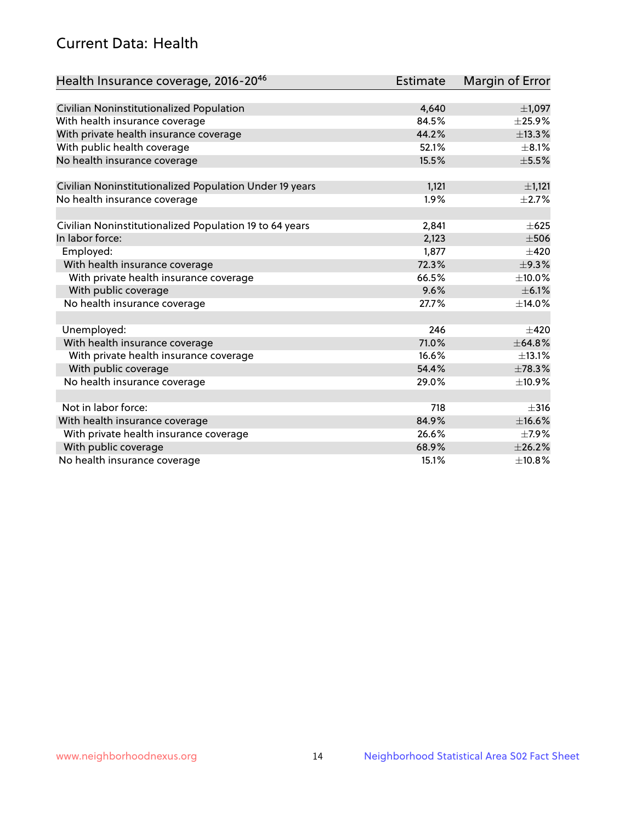# Current Data: Health

| Health Insurance coverage, 2016-2046                    | Estimate | Margin of Error |
|---------------------------------------------------------|----------|-----------------|
|                                                         |          |                 |
| Civilian Noninstitutionalized Population                | 4,640    | $\pm$ 1,097     |
| With health insurance coverage                          | 84.5%    | ±25.9%          |
| With private health insurance coverage                  | 44.2%    | ±13.3%          |
| With public health coverage                             | 52.1%    | $\pm$ 8.1%      |
| No health insurance coverage                            | 15.5%    | $\pm$ 5.5%      |
| Civilian Noninstitutionalized Population Under 19 years | 1,121    | $\pm$ 1,121     |
| No health insurance coverage                            | 1.9%     | $\pm 2.7\%$     |
|                                                         |          |                 |
| Civilian Noninstitutionalized Population 19 to 64 years | 2,841    | $\pm 625$       |
| In labor force:                                         | 2,123    | $\pm$ 506       |
| Employed:                                               | 1,877    | $\pm 420$       |
| With health insurance coverage                          | 72.3%    | ±9.3%           |
| With private health insurance coverage                  | 66.5%    | ±10.0%          |
| With public coverage                                    | 9.6%     | $\pm$ 6.1%      |
| No health insurance coverage                            | 27.7%    | ±14.0%          |
|                                                         |          |                 |
| Unemployed:                                             | 246      | $\pm 420$       |
| With health insurance coverage                          | 71.0%    | $\pm$ 64.8%     |
| With private health insurance coverage                  | 16.6%    | ±13.1%          |
| With public coverage                                    | 54.4%    | ±78.3%          |
| No health insurance coverage                            | 29.0%    | ±10.9%          |
|                                                         |          |                 |
| Not in labor force:                                     | 718      | $\pm$ 316       |
| With health insurance coverage                          | 84.9%    | ±16.6%          |
| With private health insurance coverage                  | 26.6%    | $\pm$ 7.9%      |
| With public coverage                                    | 68.9%    | ±26.2%          |
| No health insurance coverage                            | 15.1%    | ±10.8%          |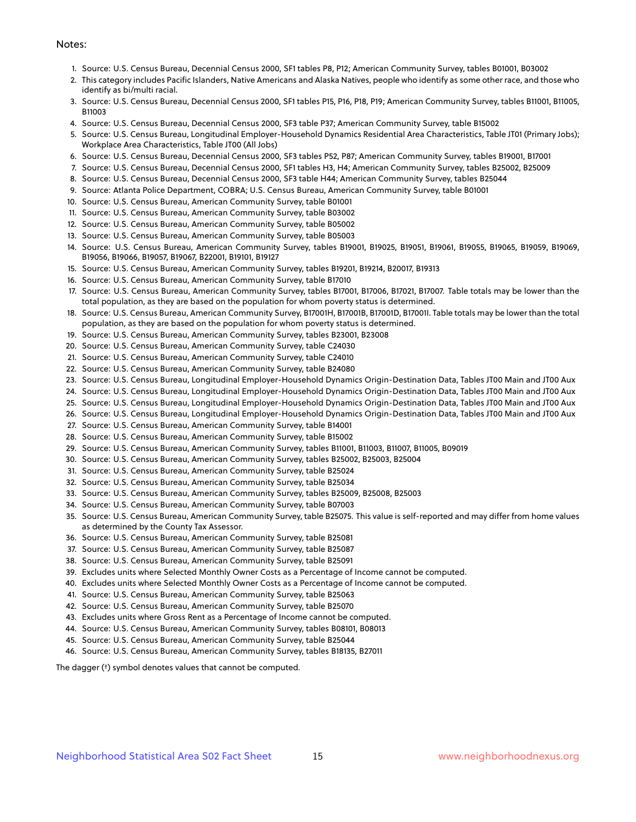#### Notes:

- 1. Source: U.S. Census Bureau, Decennial Census 2000, SF1 tables P8, P12; American Community Survey, tables B01001, B03002
- 2. This category includes Pacific Islanders, Native Americans and Alaska Natives, people who identify as some other race, and those who identify as bi/multi racial.
- 3. Source: U.S. Census Bureau, Decennial Census 2000, SF1 tables P15, P16, P18, P19; American Community Survey, tables B11001, B11005, B11003
- 4. Source: U.S. Census Bureau, Decennial Census 2000, SF3 table P37; American Community Survey, table B15002
- 5. Source: U.S. Census Bureau, Longitudinal Employer-Household Dynamics Residential Area Characteristics, Table JT01 (Primary Jobs); Workplace Area Characteristics, Table JT00 (All Jobs)
- 6. Source: U.S. Census Bureau, Decennial Census 2000, SF3 tables P52, P87; American Community Survey, tables B19001, B17001
- 7. Source: U.S. Census Bureau, Decennial Census 2000, SF1 tables H3, H4; American Community Survey, tables B25002, B25009
- 8. Source: U.S. Census Bureau, Decennial Census 2000, SF3 table H44; American Community Survey, tables B25044
- 9. Source: Atlanta Police Department, COBRA; U.S. Census Bureau, American Community Survey, table B01001
- 10. Source: U.S. Census Bureau, American Community Survey, table B01001
- 11. Source: U.S. Census Bureau, American Community Survey, table B03002
- 12. Source: U.S. Census Bureau, American Community Survey, table B05002
- 13. Source: U.S. Census Bureau, American Community Survey, table B05003
- 14. Source: U.S. Census Bureau, American Community Survey, tables B19001, B19025, B19051, B19061, B19055, B19065, B19059, B19069, B19056, B19066, B19057, B19067, B22001, B19101, B19127
- 15. Source: U.S. Census Bureau, American Community Survey, tables B19201, B19214, B20017, B19313
- 16. Source: U.S. Census Bureau, American Community Survey, table B17010
- 17. Source: U.S. Census Bureau, American Community Survey, tables B17001, B17006, B17021, B17007. Table totals may be lower than the total population, as they are based on the population for whom poverty status is determined.
- 18. Source: U.S. Census Bureau, American Community Survey, B17001H, B17001B, B17001D, B17001I. Table totals may be lower than the total population, as they are based on the population for whom poverty status is determined.
- 19. Source: U.S. Census Bureau, American Community Survey, tables B23001, B23008
- 20. Source: U.S. Census Bureau, American Community Survey, table C24030
- 21. Source: U.S. Census Bureau, American Community Survey, table C24010
- 22. Source: U.S. Census Bureau, American Community Survey, table B24080
- 23. Source: U.S. Census Bureau, Longitudinal Employer-Household Dynamics Origin-Destination Data, Tables JT00 Main and JT00 Aux
- 24. Source: U.S. Census Bureau, Longitudinal Employer-Household Dynamics Origin-Destination Data, Tables JT00 Main and JT00 Aux
- 25. Source: U.S. Census Bureau, Longitudinal Employer-Household Dynamics Origin-Destination Data, Tables JT00 Main and JT00 Aux
- 26. Source: U.S. Census Bureau, Longitudinal Employer-Household Dynamics Origin-Destination Data, Tables JT00 Main and JT00 Aux
- 27. Source: U.S. Census Bureau, American Community Survey, table B14001
- 28. Source: U.S. Census Bureau, American Community Survey, table B15002
- 29. Source: U.S. Census Bureau, American Community Survey, tables B11001, B11003, B11007, B11005, B09019
- 30. Source: U.S. Census Bureau, American Community Survey, tables B25002, B25003, B25004
- 31. Source: U.S. Census Bureau, American Community Survey, table B25024
- 32. Source: U.S. Census Bureau, American Community Survey, table B25034
- 33. Source: U.S. Census Bureau, American Community Survey, tables B25009, B25008, B25003
- 34. Source: U.S. Census Bureau, American Community Survey, table B07003
- 35. Source: U.S. Census Bureau, American Community Survey, table B25075. This value is self-reported and may differ from home values as determined by the County Tax Assessor.
- 36. Source: U.S. Census Bureau, American Community Survey, table B25081
- 37. Source: U.S. Census Bureau, American Community Survey, table B25087
- 38. Source: U.S. Census Bureau, American Community Survey, table B25091
- 39. Excludes units where Selected Monthly Owner Costs as a Percentage of Income cannot be computed.
- 40. Excludes units where Selected Monthly Owner Costs as a Percentage of Income cannot be computed.
- 41. Source: U.S. Census Bureau, American Community Survey, table B25063
- 42. Source: U.S. Census Bureau, American Community Survey, table B25070
- 43. Excludes units where Gross Rent as a Percentage of Income cannot be computed.
- 44. Source: U.S. Census Bureau, American Community Survey, tables B08101, B08013
- 45. Source: U.S. Census Bureau, American Community Survey, table B25044
- 46. Source: U.S. Census Bureau, American Community Survey, tables B18135, B27011

The dagger (†) symbol denotes values that cannot be computed.